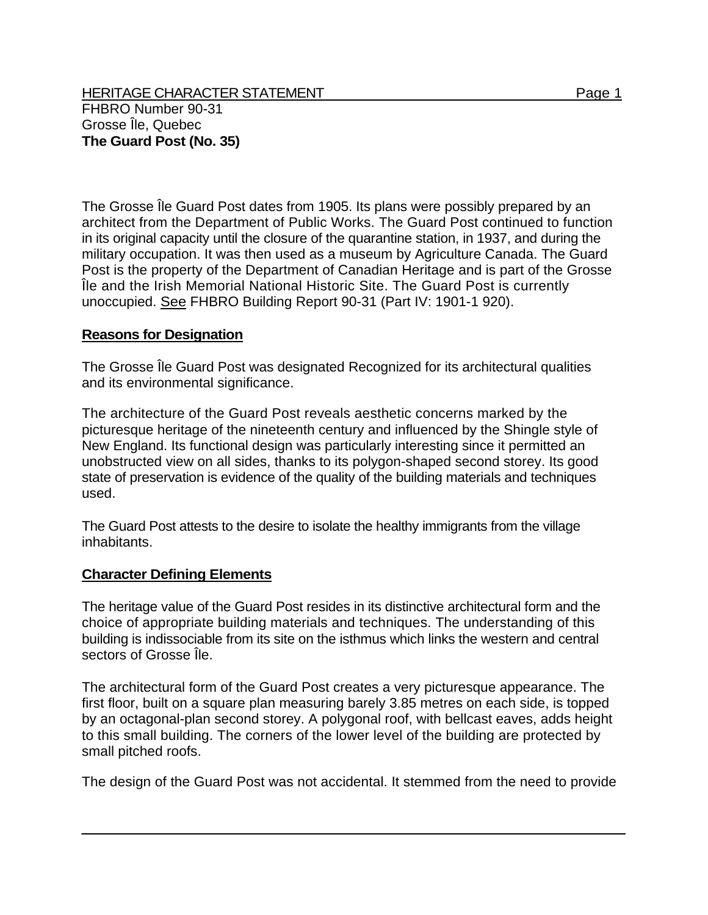HERITAGE CHARACTER STATEMENT FRIELD FOR A STATEMENT AND RAGE 1 FHBRO Number 90-31 Grosse Île, Quebec **The Guard Post (No. 35)** 

The Grosse Île Guard Post dates from 1905. Its plans were possibly prepared by an architect from the Department of Public Works. The Guard Post continued to function in its original capacity until the closure of the quarantine station, in 1937, and during the military occupation. It was then used as a museum by Agriculture Canada. The Guard Post is the property of the Department of Canadian Heritage and is part of the Grosse Île and the Irish Memorial National Historic Site. The Guard Post is currently unoccupied. See FHBRO Building Report 90-31 (Part IV: 1901-1 920).

## **Reasons for Designation**

The Grosse Île Guard Post was designated Recognized for its architectural qualities and its environmental significance.

The architecture of the Guard Post reveals aesthetic concerns marked by the picturesque heritage of the nineteenth century and influenced by the Shingle style of New England. Its functional design was particularly interesting since it permitted an unobstructed view on all sides, thanks to its polygon-shaped second storey. Its good state of preservation is evidence of the quality of the building materials and techniques used.

The Guard Post attests to the desire to isolate the healthy immigrants from the village inhabitants.

## **Character Defining Elements**

The heritage value of the Guard Post resides in its distinctive architectural form and the choice of appropriate building materials and techniques. The understanding of this building is indissociable from its site on the isthmus which links the western and central sectors of Grosse Île.

The architectural form of the Guard Post creates a very picturesque appearance. The first floor, built on a square plan measuring barely 3.85 metres on each side, is topped by an octagonal-plan second storey. A polygonal roof, with bellcast eaves, adds height to this small building. The corners of the lower level of the building are protected by small pitched roofs.

The design of the Guard Post was not accidental. It stemmed from the need to provide